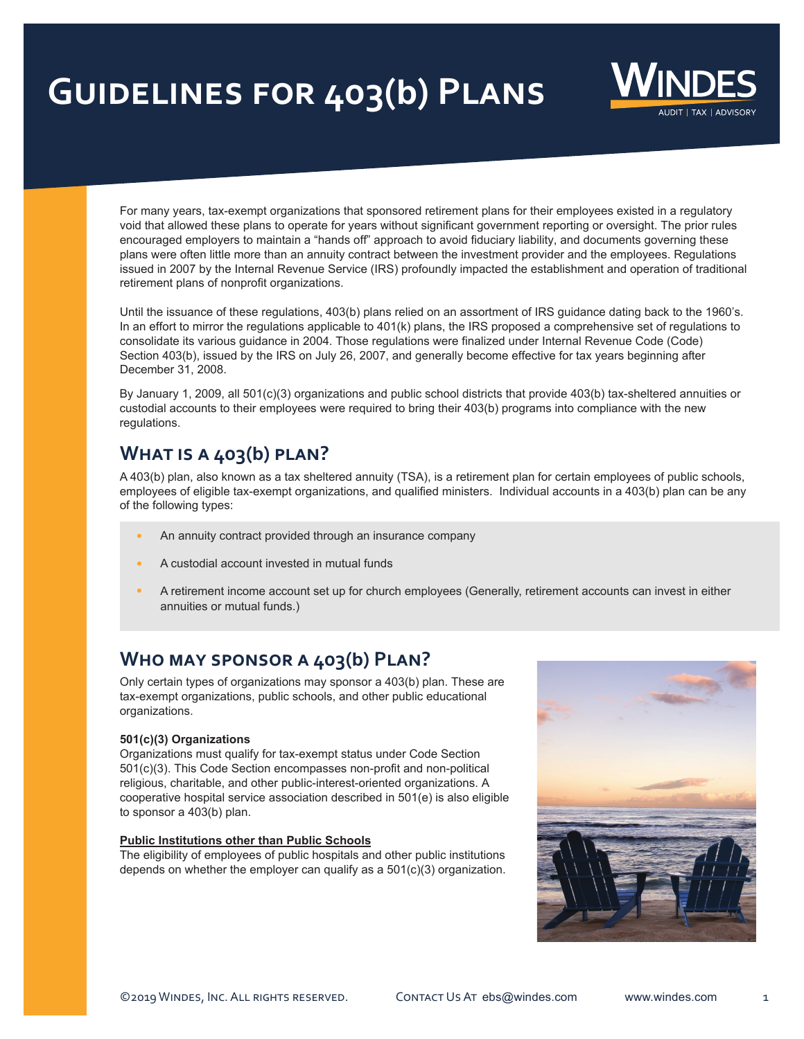# **Guidelines for 403(b) Plans**



For many years, tax-exempt organizations that sponsored retirement plans for their employees existed in a regulatory void that allowed these plans to operate for years without significant government reporting or oversight. The prior rules encouraged employers to maintain a "hands off" approach to avoid fiduciary liability, and documents governing these plans were often little more than an annuity contract between the investment provider and the employees. Regulations issued in 2007 by the Internal Revenue Service (IRS) profoundly impacted the establishment and operation of traditional retirement plans of nonprofit organizations.

Until the issuance of these regulations, 403(b) plans relied on an assortment of IRS guidance dating back to the 1960's. In an effort to mirror the regulations applicable to 401(k) plans, the IRS proposed a comprehensive set of regulations to consolidate its various guidance in 2004. Those regulations were finalized under Internal Revenue Code (Code) Section 403(b), issued by the IRS on July 26, 2007, and generally become effective for tax years beginning after December 31, 2008.

By January 1, 2009, all 501(c)(3) organizations and public school districts that provide 403(b) tax-sheltered annuities or custodial accounts to their employees were required to bring their 403(b) programs into compliance with the new regulations.

# **What is a 403(b) plan?**

A 403(b) plan, also known as a tax sheltered annuity (TSA), is a retirement plan for certain employees of public schools, employees of eligible tax-exempt organizations, and qualified ministers. Individual accounts in a 403(b) plan can be any of the following types:

- **•** An annuity contract provided through an insurance company
- **•** A custodial account invested in mutual funds
- **•** A retirement income account set up for church employees (Generally, retirement accounts can invest in either annuities or mutual funds.)

## **Who may sponsor a 403(b) Plan?**

Only certain types of organizations may sponsor a 403(b) plan. These are tax-exempt organizations, public schools, and other public educational organizations.

#### **501(c)(3) Organizations**

Organizations must qualify for tax-exempt status under Code Section 501(c)(3). This Code Section encompasses non-profit and non-political religious, charitable, and other public-interest-oriented organizations. A cooperative hospital service association described in 501(e) is also eligible to sponsor a 403(b) plan.

#### **Public Institutions other than Public Schools**

The eligibility of employees of public hospitals and other public institutions depends on whether the employer can qualify as a 501(c)(3) organization.